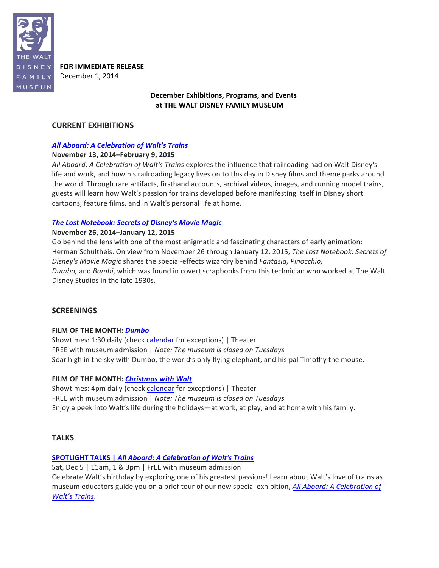

**FOR IMMEDIATE RELEASE** December 1, 2014

# **December Exhibitions, Programs, and Events** at THE WALT DISNEY FAMILY MUSEUM

# **CURRENT EXHIBITIONS**

# *All Aboard: A Celebration of Walt's Trains*

# **November 13, 2014–February 9, 2015**

*All Aboard:* A Celebration of Walt's Trains explores the influence that railroading had on Walt Disney's life and work, and how his railroading legacy lives on to this day in Disney films and theme parks around the world. Through rare artifacts, firsthand accounts, archival videos, images, and running model trains, guests will learn how Walt's passion for trains developed before manifesting itself in Disney short cartoons, feature films, and in Walt's personal life at home.

# **The Lost Notebook: Secrets of Disney's Movie Magic**

# **November 26, 2014–January 12, 2015**

Go behind the lens with one of the most enigmatic and fascinating characters of early animation: Herman Schultheis. On view from November 26 through January 12, 2015, *The Lost Notebook: Secrets of Disney's Movie Magic* shares the special-effects wizardry behind *Fantasia, Pinocchio, Dumbo*, and *Bambi*, which was found in covert scrapbooks from this technician who worked at The Walt Disney Studios in the late 1930s.

# **SCREENINGS**

# **FILM OF THE MONTH: Dumbo**

Showtimes: 1:30 daily (check calendar for exceptions) | Theater FREE with museum admission | Note: The museum is closed on Tuesdays Soar high in the sky with Dumbo, the world's only flying elephant, and his pal Timothy the mouse.

# **FILM OF THE MONTH: Christmas with Walt**

Showtimes: 4pm daily (check calendar for exceptions) | Theater FREE with museum admission | Note: The museum is closed on Tuesdays Enjoy a peek into Walt's life during the holidays—at work, at play, and at home with his family.

# **TALKS**

# **SPOTLIGHT TALKS | All Aboard: A Celebration of Walt's Trains**

Sat, Dec 5 | 11am, 1 & 3pm | FrEE with museum admission Celebrate Walt's birthday by exploring one of his greatest passions! Learn about Walt's love of trains as museum educators guide you on a brief tour of our new special exhibition, *All Aboard: A Celebration of Walt's Trains*.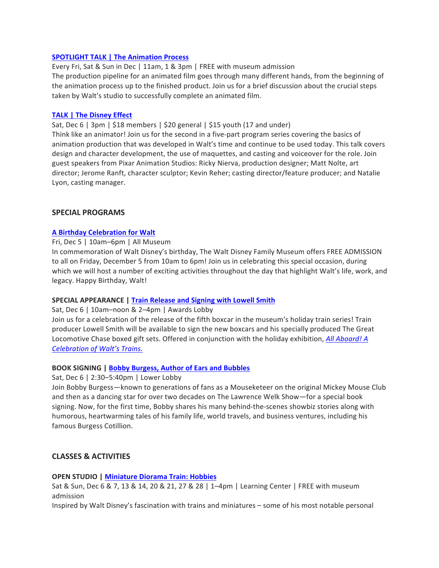### **SPOTLIGHT TALK | The Animation Process**

Every Fri, Sat & Sun in Dec | 11am, 1 & 3pm | FREE with museum admission The production pipeline for an animated film goes through many different hands, from the beginning of the animation process up to the finished product. Join us for a brief discussion about the crucial steps taken by Walt's studio to successfully complete an animated film.

### **TALK | The Disney Effect**

Sat, Dec 6 | 3pm | \$18 members | \$20 general | \$15 youth (17 and under)

Think like an animator! Join us for the second in a five-part program series covering the basics of animation production that was developed in Walt's time and continue to be used today. This talk covers design and character development, the use of maquettes, and casting and voiceover for the role. Join guest speakers from Pixar Animation Studios: Ricky Nierva, production designer; Matt Nolte, art director; Jerome Ranft, character sculptor; Kevin Reher; casting director/feature producer; and Natalie Lyon, casting manager.

### **SPECIAL PROGRAMS**

### **A Birthday Celebration for Walt**

#### Fri, Dec 5 | 10am–6pm | All Museum

In commemoration of Walt Disney's birthday, The Walt Disney Family Museum offers FREE ADMISSION to all on Friday, December 5 from 10am to 6pm! Join us in celebrating this special occasion, during which we will host a number of exciting activities throughout the day that highlight Walt's life, work, and legacy. Happy Birthday, Walt!

#### **SPECIAL APPEARANCE | Train Release and Signing with Lowell Smith**

#### Sat, Dec 6 | 10am–noon & 2–4pm | Awards Lobby

Join us for a celebration of the release of the fifth boxcar in the museum's holiday train series! Train producer Lowell Smith will be available to sign the new boxcars and his specially produced The Great Locomotive Chase boxed gift sets. Offered in conjunction with the holiday exhibition, *All Aboard! A Celebration of Walt's Trains.*

#### **BOOK SIGNING | Bobby Burgess, Author of Ears and Bubbles**

Sat, Dec 6 | 2:30-5:40pm | Lower Lobby

Join Bobby Burgess—known to generations of fans as a Mouseketeer on the original Mickey Mouse Club and then as a dancing star for over two decades on The Lawrence Welk Show—for a special book signing. Now, for the first time, Bobby shares his many behind-the-scenes showbiz stories along with humorous, heartwarming tales of his family life, world travels, and business ventures, including his famous Burgess Cotillion.

# **CLASSES & ACTIVITIES**

#### **OPEN STUDIO | Miniature Diorama Train: Hobbies**

Sat & Sun, Dec 6 & 7, 13 & 14, 20 & 21, 27 & 28 | 1-4pm | Learning Center | FREE with museum admission

Inspired by Walt Disney's fascination with trains and miniatures - some of his most notable personal